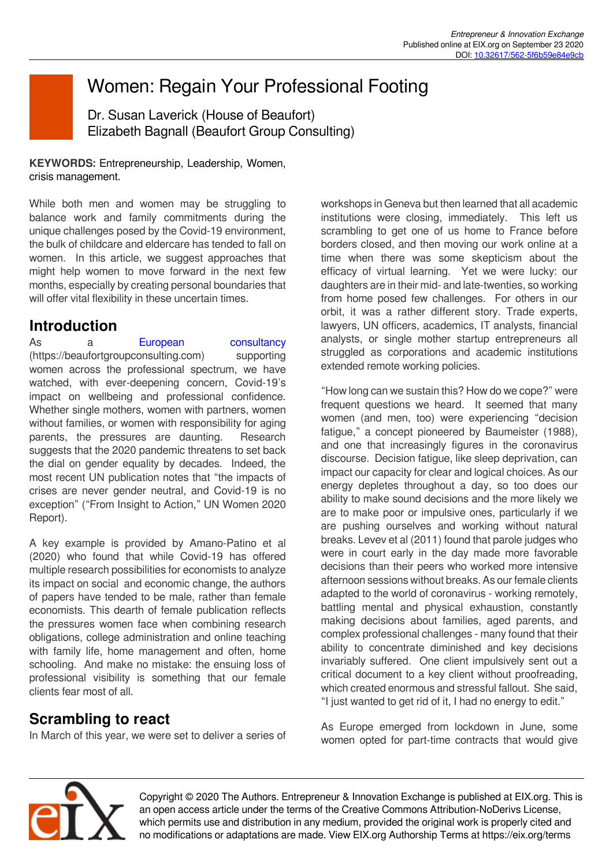# Women: Regain Your Professional Footing

Dr. Susan Laverick (House of Beaufort) Elizabeth Bagnall (Beaufort Group Consulting)

**KEYWORDS:** Entrepreneurship, Leadership, Women, crisis management.

While both men and women may be struggling to balance work and family commitments during the unique challenges posed by the Covid-19 environment, the bulk of childcare and eldercare has tended to fall on women. In this article, we suggest approaches that might help women to move forward in the next few months, especially by creating personal boundaries that will offer vital flexibility in these uncertain times.

#### **Introduction**

As a [European consultancy](https://beaufortgroupconsulting.com) (https://beaufortgroupconsulting.com) supporting women across the professional spectrum, we have watched, with ever-deepening concern, Covid-19's impact on wellbeing and professional confidence. Whether single mothers, women with partners, women without families, or women with responsibility for aging parents, the pressures are daunting. Research suggests that the 2020 pandemic threatens to set back the dial on gender equality by decades. Indeed, the most recent UN publication notes that "the impacts of crises are never gender neutral, and Covid-19 is no exception" ("From Insight to Action," UN Women 2020 Report).

A key example is provided by Amano-Patino et al (2020) who found that while Covid-19 has offered multiple research possibilities for economists to analyze its impact on social and economic change, the authors of papers have tended to be male, rather than female economists. This dearth of female publication reflects the pressures women face when combining research obligations, college administration and online teaching with family life, home management and often, home schooling. And make no mistake: the ensuing loss of professional visibility is something that our female clients fear most of all.

## **Scrambling to react**

In March of this year, we were set to deliver a series of

workshops in Geneva but then learned that all academic institutions were closing, immediately. This left us scrambling to get one of us home to France before borders closed, and then moving our work online at a time when there was some skepticism about the efficacy of virtual learning. Yet we were lucky: our daughters are in their mid- and late-twenties, so working from home posed few challenges. For others in our orbit, it was a rather different story. Trade experts, lawyers, UN officers, academics, IT analysts, financial analysts, or single mother startup entrepreneurs all struggled as corporations and academic institutions extended remote working policies.

"How long can we sustain this? How do we cope?" were frequent questions we heard. It seemed that many women (and men, too) were experiencing "decision fatigue," a concept pioneered by Baumeister (1988), and one that increasingly figures in the coronavirus discourse. Decision fatigue, like sleep deprivation, can impact our capacity for clear and logical choices. As our energy depletes throughout a day, so too does our ability to make sound decisions and the more likely we are to make poor or impulsive ones, particularly if we are pushing ourselves and working without natural breaks. Levev et al (2011) found that parole judges who were in court early in the day made more favorable decisions than their peers who worked more intensive afternoon sessions without breaks. As our female clients adapted to the world of coronavirus - working remotely, battling mental and physical exhaustion, constantly making decisions about families, aged parents, and complex professional challenges - many found that their ability to concentrate diminished and key decisions invariably suffered. One client impulsively sent out a critical document to a key client without proofreading, which created enormous and stressful fallout. She said, "I just wanted to get rid of it, I had no energy to edit."

As Europe emerged from lockdown in June, some women opted for part-time contracts that would give



Copyright © 2020 The Authors. Entrepreneur & Innovation Exchange is published at EIX.org. This is an open access article under the terms of the Creative Commons Attribution-NoDerivs License, which permits use and distribution in any medium, provided the original work is properly cited and no modifications or adaptations are made. View EIX.org Authorship Terms at https://eix.org/terms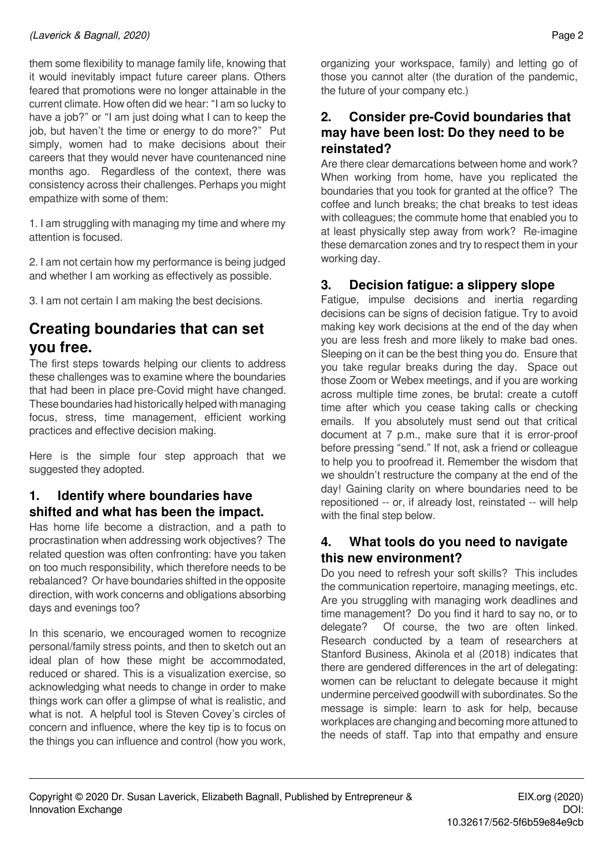them some flexibility to manage family life, knowing that it would inevitably impact future career plans. Others feared that promotions were no longer attainable in the current climate. How often did we hear: "I am so lucky to have a job?" or "I am just doing what I can to keep the job, but haven't the time or energy to do more?" Put simply, women had to make decisions about their careers that they would never have countenanced nine months ago. Regardless of the context, there was consistency across their challenges. Perhaps you might empathize with some of them:

1. I am struggling with managing my time and where my attention is focused.

2. I am not certain how my performance is being judged and whether I am working as effectively as possible.

3. I am not certain I am making the best decisions.

## **Creating boundaries that can set you free.**

The first steps towards helping our clients to address these challenges was to examine where the boundaries that had been in place pre-Covid might have changed. These boundaries had historically helped with managing focus, stress, time management, efficient working practices and effective decision making.

Here is the simple four step approach that we suggested they adopted.

#### **1. Identify where boundaries have shifted and what has been the impact.**

Has home life become a distraction, and a path to procrastination when addressing work objectives? The related question was often confronting: have you taken on too much responsibility, which therefore needs to be rebalanced? Or have boundaries shifted in the opposite direction, with work concerns and obligations absorbing days and evenings too?

In this scenario, we encouraged women to recognize personal/family stress points, and then to sketch out an ideal plan of how these might be accommodated, reduced or shared. This is a visualization exercise, so acknowledging what needs to change in order to make things work can offer a glimpse of what is realistic, and what is not. A helpful tool is Steven Covey's circles of concern and influence, where the key tip is to focus on the things you can influence and control (how you work,

organizing your workspace, family) and letting go of those you cannot alter (the duration of the pandemic, the future of your company etc.)

#### **2. Consider pre-Covid boundaries that may have been lost: Do they need to be reinstated?**

Are there clear demarcations between home and work? When working from home, have you replicated the boundaries that you took for granted at the office? The coffee and lunch breaks; the chat breaks to test ideas with colleagues; the commute home that enabled you to at least physically step away from work? Re-imagine these demarcation zones and try to respect them in your working day.

#### **3. Decision fatigue: a slippery slope**

Fatigue, impulse decisions and inertia regarding decisions can be signs of decision fatigue. Try to avoid making key work decisions at the end of the day when you are less fresh and more likely to make bad ones. Sleeping on it can be the best thing you do. Ensure that you take regular breaks during the day. Space out those Zoom or Webex meetings, and if you are working across multiple time zones, be brutal: create a cutoff time after which you cease taking calls or checking emails. If you absolutely must send out that critical document at 7 p.m., make sure that it is error-proof before pressing "send." If not, ask a friend or colleague to help you to proofread it. Remember the wisdom that we shouldn't restructure the company at the end of the day! Gaining clarity on where boundaries need to be repositioned -- or, if already lost, reinstated -- will help with the final step below.

#### **4. What tools do you need to navigate this new environment?**

Do you need to refresh your soft skills? This includes the communication repertoire, managing meetings, etc. Are you struggling with managing work deadlines and time management? Do you find it hard to say no, or to delegate? Of course, the two are often linked. Research conducted by a team of researchers at Stanford Business, Akinola et al (2018) indicates that there are gendered differences in the art of delegating: women can be reluctant to delegate because it might undermine perceived goodwill with subordinates. So the message is simple: learn to ask for help, because workplaces are changing and becoming more attuned to the needs of staff. Tap into that empathy and ensure